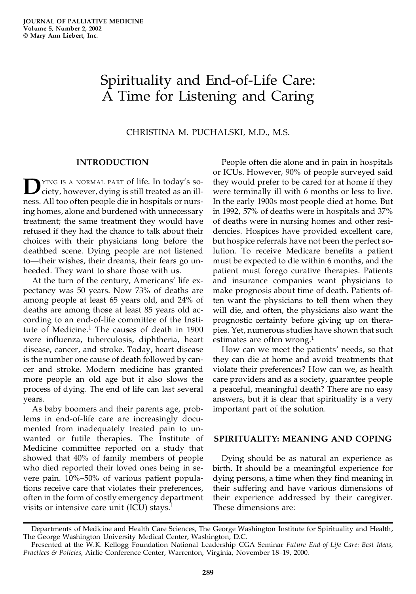# Spirituality and End-of-Life Care: A Time for Listening and Caring

CHRISTINA M. PUCHALSKI, M.D., M.S.

## **INTRODUCTION**

**D**<sup>YING</sup> IS A NORMAL PART of life. In today's society, however, dying is still treated as an ill-YING IS <sup>A</sup> NORMAL PART of life. In today's so ness. All too often people die in hospitals or nursing homes, alone and burdened with unnecessary treatment; the same treatment they would have refused if they had the chance to talk about their choices with their physicians long before the deathbed scene. Dying people are not listened to—their wishes, their dreams, their fears go un heeded. They want to share those with us.

At the turn of the century, Americans' life ex pectancy was 50 years. Now 73% of deaths are among people at least 65 years old, and 24% of deaths are among those at least 85 years old ac cording to an end-of-life committee of the Institute of Medicine.<sup>1</sup> The causes of death in 1900 were influenza, tuberculosis, diphtheria, heart disease, cancer, and stroke. Today, heart disease is the number one cause of death followed by can cer and stroke. Modern medicine has granted more people an old age but it also slows the process of dying. The end of life can last several years.

As baby boomers and their parents age, problems in end-of-life care are increasingly docu mented from inadequately treated pain to un wanted or futile therapies. The Institute of Medicine committee reported on a study that showed that 40% of family members of people who died reported their loved ones being in se vere pain. 10%–50% of various patient populations receive care that violates their preferences, often in the form of costly emergency department visits or intensive care unit (ICU) stays.<sup>1</sup>

People often die alone and in pain in hospitals or ICUs. However, 90% of people surveyed said they would prefer to be cared for at home if they were terminally ill with 6 months or less to live. In the early 1900s most people died at home. But in 1992, 57% of deaths were in hospitals and 37% of deaths were in nursing homes and other resi dencies. Hospices have provided excellent care, but hospice referrals have not been the perfect solution. To receive Medicare benefits a patient must be expected to die within 6 months, and the patient must forego curative therapies. Patients and insurance companies want physicians to make prognosis about time of death. Patients often want the physicians to tell them when they will die, and often, the physicians also want the prognostic certainty before giving up on thera pies. Yet, numerous studies have shown that such estimates are often wrong.<sup>1</sup>

How can we meet the patients' needs, so that they can die at home and avoid treatments that violate their preferences? How can we, as health care providers and as a society, guarantee people a peaceful, meaningful death? There are no easy answers, but it is clear that spirituality is a very important part of the solution.

# **SPIRITUALITY: MEANING AND COPING**

Dying should be as natural an experience as birth. It should be a meaningful experience for dying persons, a time when they find meaning in their suffering and have various dimensions of their experience addressed by their caregiver. These dimensions are:

Departments of Medicine and Health Care Sciences, The George Washington Institute for Spirituality and Health, The George Washington University Medical Center, Washington, D.C.

Presented at the W.K. Kellogg Foundation National Leadership CGA Seminar *Future End-of-Life Care: Best Ideas, Practices & Policies,* Airlie Conference Center, Warrenton, Virginia, November 18–19, 2000.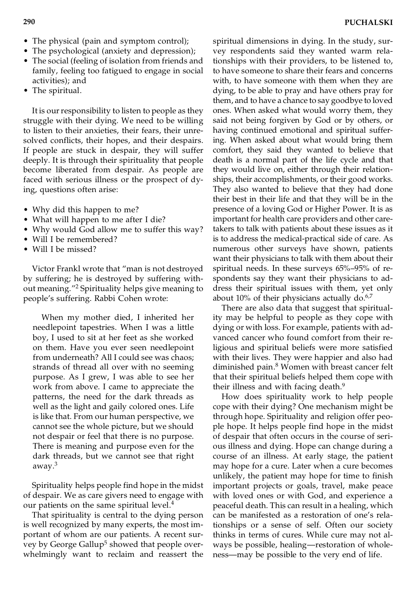- The physical (pain and symptom control);
- The psychological (anxiety and depression);
- The social (feeling of isolation from friends and family, feeling too fatigued to engage in social activities); and
- The spiritual.

It is our responsibility to listen to people as they struggle with their dying. We need to be willing to listen to their anxieties, their fears, their unre solved conflicts, their hopes, and their despairs. If people are stuck in despair, they will suffer deeply. It is through their spirituality that people become liberated from despair. As people are faced with serious illness or the prospect of dying, questions often arise:

- Why did this happen to me?
- What will happen to me after I die?
- Why would God allow me to suffer this way?
- Will I be remembered?
- Will I be missed?

Victor Frankl wrote that "man is not destroyed by suffering; he is destroyed by suffering with out meaning."<sup>2</sup> Spirituality helps give meaning to d people's suffering. Rabbi Cohen wrote:

When my mother died, I inherited her needlepoint tapestries. When I was a little boy, I used to sit at her feet as she worked on them. Have you ever seen needlepoint from underneath? All I could see was chaos; strands of thread all over with no seeming purpose. As I grew, I was able to see her work from above. I came to appreciate the patterns, the need for the dark threads as well as the light and gaily colored ones. Life is like that. From our human perspective, we cannot see the whole picture, but we should not despair or feel that there is no purpose. There is meaning and purpose even for the dark threads, but we cannot see that right away.<sup>3</sup>

Spirituality helps people find hope in the midst of despair. We as care givers need to engage with our patients on the same spiritual level.<sup>4</sup>

That spirituality is central to the dying person is well recognized by many experts, the most im portant of whom are our patients. A recent sur vey by George Gallup <sup>5</sup> showed that people over whelmingly want to reclaim and reassert the

spiritual dimensions in dying. In the study, sur vey respondents said they wanted warm relationships with their providers, to be listened to, to have someone to share their fears and concerns with, to have someone with them when they are dying, to be able to pray and have others pray for them, and to have a chance to say goodbye to loved ones. When asked what would worry them, they said not being forgiven by God or by others, or having continued emotional and spiritual suffering. When asked about what would bring them comfort, they said they wanted to believe that death is a normal part of the life cycle and that they would live on, either through their relation ships, their accomplishments, or their good works. They also wanted to believe that they had done their best in their life and that they will be in the presence of a loving God or Higher Power. It is as important for health care providers and other caretakers to talk with patients about these issues as it is to address the medical-practical side of care. As numerous other surveys have shown, patients want their physicians to talk with them about their spiritual needs. In these surveys 65%–95% of re spondents say they want their physicians to ad dress their spiritual issues with them, yet only about  $10\%$  of their physicians actually do. $6.7$ 

There are also data that suggest that spirituality may be helpful to people as they cope with dying or with loss. For example, patients with ad vanced cancer who found comfort from their religious and spiritual beliefs were more satisfied with their lives. They were happier and also had diminished pain.<sup>8</sup> Women with breast cancer felt that their spiritual beliefs helped them cope with their illness and with facing death.<sup>9</sup>

How does spirituality work to help people cope with their dying? One mechanism might be through hope. Spirituality and religion offer peo ple hope. It helps people find hope in the midst of despair that often occurs in the course of seri ous illness and dying. Hope can change during a course of an illness. At early stage, the patient may hope for a cure. Later when a cure becomes unlikely, the patient may hope for time to finish important projects or goals, travel, make peace with loved ones or with God, and experience a peaceful death. This can result in a healing, which can be manifested as a restoration of one's relationships or a sense of self. Often our society thinks in terms of cures. While cure may not al ways be possible, healing—restoration of whole ness—may be possible to the very end of life.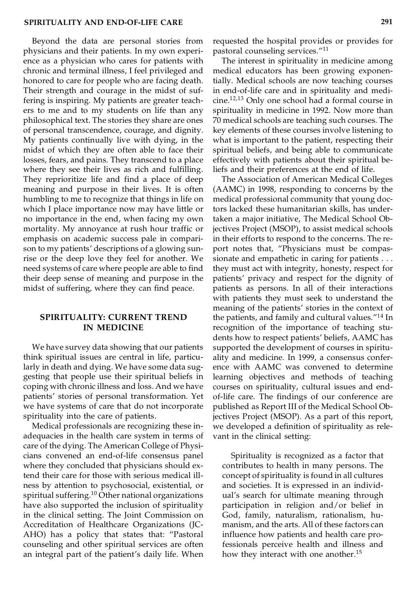# **SPIRITUALITY AND END-OF-LIFE CARE 291**

Beyond the data are personal stories from physicians and their patients. In my own experi ence as a physician who cares for patients with chronic and terminal illness, I feel privileged and honored to care for people who are facing death. Their strength and courage in the midst of suffering is inspiring. My patients are greater teach ers to me and to my students on life than any philosophical text. The stories they share are ones of personal transcendence, courage, and dignity. My patients continually live with dying, in the midst of which they are often able to face their losses, fears, and pains. They transcend to a place where they see their lives as rich and fulfilling. They reprioritize life and find a place of deep meaning and purpose in their lives. It is often humbling to me to recognize that things in life on which I place importance now may have little or no importance in the end, when facing my own mortality. My annoyance at rush hour traffic or emphasis on academic success pale in compari son to my patients' descriptions of a glowing sun rise or the deep love they feel for another. We need systems of care where people are able to find their deep sense of meaning and purpose in the midst of suffering, where they can find peace.

# **SPIRITUALITY: CURRENT TREND IN MEDICINE**

We have survey data showing that our patients think spiritual issues are central in life, particularly in death and dying. We have some data sug gesting that people use their spiritual beliefs in coping with chronic illness and loss. And we have patients' stories of personal transformation. Yet we have systems of care that do not incorporate spirituality into the care of patients.

Medical professionals are recognizing these in adequacies in the health care system in terms of care of the dying. The American College of Physi cians convened an end-of-life consensus panel where they concluded that physicians should extend their care for those with serious medical ill ness by attention to psychosocial, existential, or spiritual suffering.<sup>10</sup> Other national organizations have also supported the inclusion of spirituality in the clinical setting. The Joint Commission on Accreditation of Healthcare Organizations (JC- AHO) has a policy that states that: "Pastoral counseling and other spiritual services are often an integral part of the patient's daily life. When

requested the hospital provides or provides for pastoral counseling services." 11

The interest in spirituality in medicine among medical educators has been growing exponentially. Medical schools are now teaching courses in end-of-life care and in spirituality and medi cine.12,13 Only one school had a formal course in spirituality in medicine in 1992. Now more than 70 medical schools are teaching such courses. The key elements of these courses involve listening to what is important to the patient, respecting their spiritual beliefs, and being able to communicate effectively with patients about their spiritual beliefs and their preferences at the end of life.

The Association of American Medical Colleges (AAMC) in 1998, responding to concerns by the medical professional community that young doctors lacked these humanitarian skills, has undertaken a major initiative, The Medical School Objectives Project (MSOP), to assist medical schools in their efforts to respond to the concerns. The re port notes that, "Physicians must be compas sionate and empathetic in caring for patients . . . they must act with integrity, honesty, respect for patients' privacy and respect for the dignity of patients as persons. In all of their interactions with patients they must seek to understand the meaning of the patients' stories in the context of the patients, and family and cultural values." <sup>14</sup> In recognition of the importance of teaching stu dents how to respect patients' beliefs, AAMC has supported the development of courses in spiritu ality and medicine. In 1999, a consensus confer ence with AAMC was convened to determine learning objectives and methods of teaching courses on spirituality, cultural issues and end of-life care. The findings of our conference are published as Report III of the Medical School Objectives Project (MSOP). As a part of this report, we developed a definition of spirituality as rele vant in the clinical setting:

Spirituality is recognized as a factor that contributes to health in many persons. The concept of spirituality is found in all cultures and societies. It is expressed in an individ ual's search for ultimate meaning through participation in religion and/or belief in God, family, naturalism, rationalism, hu manism, and the arts. All of these factors can influence how patients and health care professionals perceive health and illness and how they interact with one another.<sup>15</sup>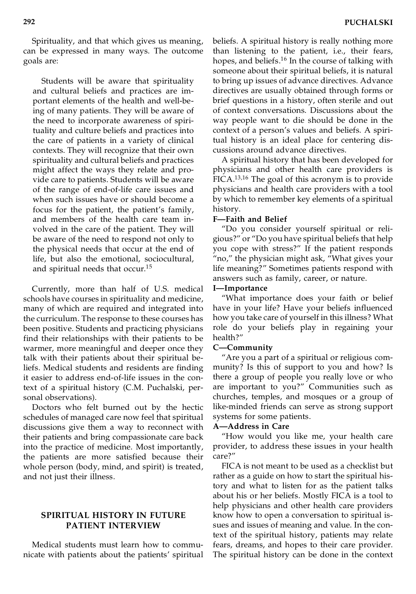Spirituality, and that which gives us meaning, can be expressed in many ways. The outcome goals are:

Students will be aware that spirituality and cultural beliefs and practices are im portant elements of the health and well-being of many patients. They will be aware of the need to incorporate awareness of spirituality and culture beliefs and practices into the care of patients in a variety of clinical contexts. They will recognize that their own spirituality and cultural beliefs and practices might affect the ways they relate and pro vide care to patients. Students will be aware of the range of end-of-life care issues and when such issues have or should become a focus for the patient, the patient's family, and members of the health care team in volved in the care of the patient. They will be aware of the need to respond not only to the physical needs that occur at the end of life, but also the emotional, sociocultural, and spiritual needs that occur.<sup>15</sup>

Currently, more than half of U.S. medical schools have courses in spirituality and medicine, many of which are required and integrated into the curriculum. The response to these courses has been positive. Students and practicing physicians find their relationships with their patients to be warmer, more meaningful and deeper once they talk with their patients about their spiritual beliefs. Medical students and residents are finding it easier to address end-of-life issues in the context of a spiritual history (C.M. Puchalski, per sonal observations).

Doctors who felt burned out by the hectic schedules of managed care now feel that spiritual discussions give them a way to reconnect with their patients and bring compassionate care back into the practice of medicine. Most importantly, the patients are more satisfied because their whole person (body, mind, and spirit) is treated, and not just their illness.

# **SPIRITUAL HISTORY IN FUTURE PATIENT INTERVIEW**

Medical students must learn how to commu nicate with patients about the patients' spiritual beliefs. A spiritual history is really nothing more than listening to the patient, i.e., their fears, hopes, and beliefs.<sup>16</sup> In the course of talking with someone about their spiritual beliefs, it is natural to bring up issues of advance directives. Advance directives are usually obtained through forms or brief questions in a history, often sterile and out of context conversations. Discussions about the way people want to die should be done in the context of a person's values and beliefs. A spiritual history is an ideal place for centering dis cussions around advance directives.

A spiritual history that has been developed for physicians and other health care providers is FICA.<sup>13,16</sup> The goal of this acronym is to provide physicians and health care providers with a tool by which to remember key elements of a spiritual history.

#### **F—Faith and Belief**

"Do you consider yourself spiritual or reli gious?" or "Do you have spiritual beliefs that help you cope with stress?" If the patient responds "no," the physician might ask, "What gives your life meaning?" Sometimes patients respond with answers such as family, career, or nature.

#### **I—Importance**

"What importance does your faith or belief have in your life? Have your beliefs influenced how you take care of yourself in this illness? What role do your beliefs play in regaining your health?"

### **C—Community**

"Are you a part of a spiritual or religious com munity? Is this of support to you and how? Is there a group of people you really love or who are important to you?" Communities such as churches, temples, and mosques or a group of like-minded friends can serve as strong support systems for some patients.

#### **A—Address in Care**

"How would you like me, your health care provider, to address these issues in your health care?"

FICA is not meant to be used as a checklist but rather as a guide on how to start the spiritual history and what to listen for as the patient talks about his or her beliefs. Mostly FICA is a tool to help physicians and other health care providers know how to open a conversation to spiritual is sues and issues of meaning and value. In the context of the spiritual history, patients may relate fears, dreams, and hopes to their care provider. The spiritual history can be done in the context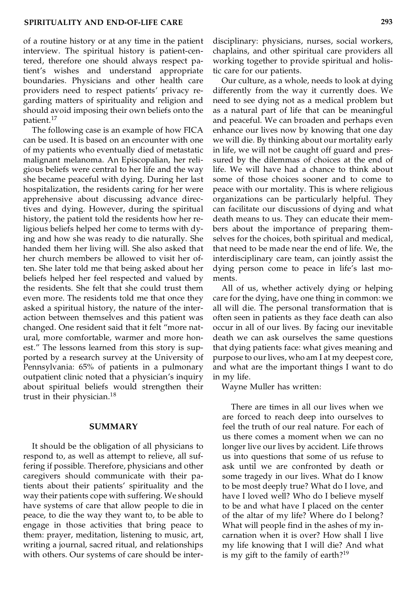of a routine history or at any time in the patient interview. The spiritual history is patient-centered, therefore one should always respect patient's wishes and understand appropriate boundaries. Physicians and other health care providers need to respect patients' privacy re garding matters of spirituality and religion and should avoid imposing their own beliefs onto the patient.<sup>17</sup>

The following case is an example of how FICA can be used. It is based on an encounter with one of my patients who eventually died of metastatic malignant melanoma. An Episcopalian, her reli gious beliefs were central to her life and the way she became peaceful with dying. During her last hospitalization, the residents caring for her were apprehensive about discussing advance directives and dying. However, during the spiritual history, the patient told the residents how her religious beliefs helped her come to terms with dying and how she was ready to die naturally. She handed them her living will. She also asked that her church members be allowed to visit her often. She later told me that being asked about her beliefs helped her feel respected and valued by the residents. She felt that she could trust them even more. The residents told me that once they asked a spiritual history, the nature of the inter action between themselves and this patient was changed. One resident said that it felt "more nat ural, more comfortable, warmer and more hon est." The lessons learned from this story is sup ported by a research survey at the University of Pennsylvania: 65% of patients in a pulmonary outpatient clinic noted that a physician's inquiry about spiritual beliefs would strengthen their trust in their physician.<sup>18</sup>

## **SUMMARY**

It should be the obligation of all physicians to respond to, as well as attempt to relieve, all suffering if possible. Therefore, physicians and other caregivers should communicate with their patients about their patients' spirituality and the way their patients cope with suffering. We should have systems of care that allow people to die in peace, to die the way they want to, to be able to engage in those activities that bring peace to them: prayer, meditation, listening to music, art, writing a journal, sacred ritual, and relationships with others. Our systems of care should be inter-

disciplinary: physicians, nurses, social workers, chaplains, and other spiritual care providers all working together to provide spiritual and holistic care for our patients.

Our culture, as a whole, needs to look at dying differently from the way it currently does. We need to see dying not as a medical problem but as a natural part of life that can be meaningful and peaceful. We can broaden and perhaps even enhance our lives now by knowing that one day we will die. By thinking about our mortality early in life, we will not be caught off guard and pres sured by the dilemmas of choices at the end of life. We will have had a chance to think about some of those choices sooner and to come to peace with our mortality. This is where religious organizations can be particularly helpful. They can facilitate our discussions of dying and what death means to us. They can educate their mem bers about the importance of preparing them selves for the choices, both spiritual and medical, that need to be made near the end of life. We, the interdisciplinary care team, can jointly assist the dying person come to peace in life's last mo ments.

All of us, whether actively dying or helping care for the dying, have one thing in common: we all will die. The personal transformation that is often seen in patients as they face death can also occur in all of our lives. By facing our inevitable death we can ask ourselves the same questions that dying patients face: what gives meaning and purpose to our lives, who am I at my deepest core, and what are the important things I want to do in my life.

Wayne Muller has written:

There are times in all our lives when we are forced to reach deep into ourselves to feel the truth of our real nature. For each of us there comes a moment when we can no longer live our lives by accident. Life throws us into questions that some of us refuse to ask until we are confronted by death or some tragedy in our lives. What do I know to be most deeply true? What do I love, and have I loved well? Who do I believe myself to be and what have I placed on the center of the altar of my life? Where do I belong? What will people find in the ashes of my in carnation when it is over? How shall I live my life knowing that I will die? And what is my gift to the family of earth? 19